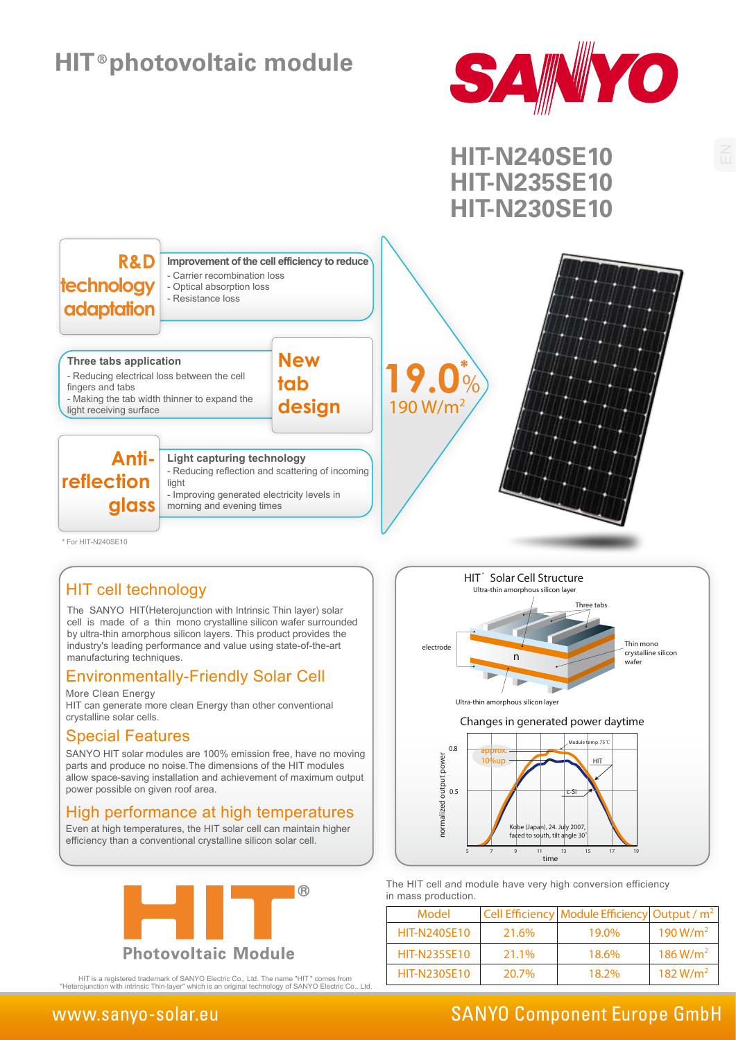## **HIT photovoltaic module**





#### HIT cell technology

The SANYO HIT(Heterojunction with Intrinsic Thin layer) solar cell is made of a thin mono crystalline silicon wafer surrounded by ultra-thin amorphous silicon layers. This product provides the industry's leading performance and value using state-of-the-art manufacturing techniques.

#### **Environmentally-Friendly Solar Cell**

More Clean Energy

HIT can generate more clean Energy than other conventional crystalline solar cells.

#### Special Features

SANYO HIT solar modules are 100% emission free, have no moving parts and produce no noise.The dimensions of the HIT modules allow space-saving installation and achievement of maximum output power possible on given roof area.

#### High performance at high temperatures

Even at high temperatures, the HIT solar cell can maintain higher efficiency than a conventional crystalline silicon solar cell.



HIT is a registered trademark of SANYO Electric Co., Ltd. The name "HIT " comes from "Heterojunction with intrinsic Thin-layer" which is an original technology of SANYO Electric Co., Ltd.



The HIT cell and module have very high conversion efficiency in mass production.

| Model               |       | Cell Efficiency   Module Efficiency   Output / $m2$ |                      |
|---------------------|-------|-----------------------------------------------------|----------------------|
| <b>HIT-N240SE10</b> | 21.6% | 19.0%                                               | 190 W/m <sup>2</sup> |
| <b>HIT-N235SE10</b> | 21.1% | 18.6%                                               | 186 W/m <sup>2</sup> |
| <b>HIT-N230SE10</b> | 20.7% | 18.2%                                               | 182 W/m <sup>2</sup> |

.<br>time

5 7 9 11 13 15 17 19

### www.sanyo-solar.eu

### **SANYO Component Europe GmbH**